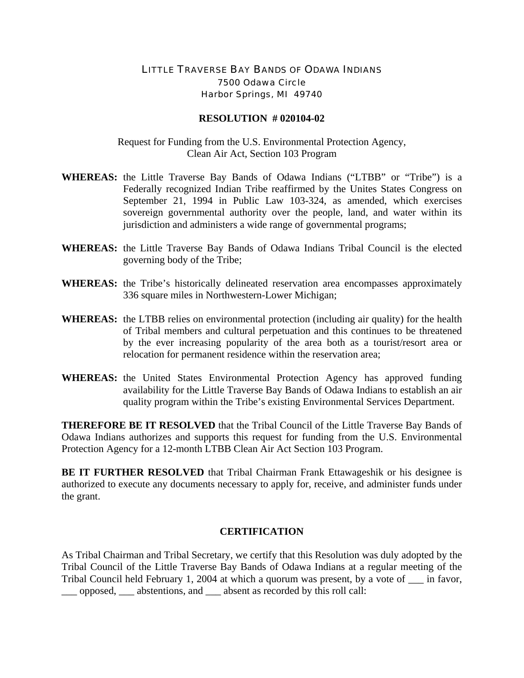## LITTLE TRAVERSE BAY BANDS OF ODAWA INDIANS 7500 Odawa Circle Harbor Springs, MI 49740

## **RESOLUTION # 020104-02**

Request for Funding from the U.S. Environmental Protection Agency, Clean Air Act, Section 103 Program

- **WHEREAS:** the Little Traverse Bay Bands of Odawa Indians ("LTBB" or "Tribe") is a Federally recognized Indian Tribe reaffirmed by the Unites States Congress on September 21, 1994 in Public Law 103-324, as amended, which exercises sovereign governmental authority over the people, land, and water within its jurisdiction and administers a wide range of governmental programs;
- **WHEREAS:** the Little Traverse Bay Bands of Odawa Indians Tribal Council is the elected governing body of the Tribe;
- **WHEREAS:** the Tribe's historically delineated reservation area encompasses approximately 336 square miles in Northwestern-Lower Michigan;
- **WHEREAS:** the LTBB relies on environmental protection (including air quality) for the health of Tribal members and cultural perpetuation and this continues to be threatened by the ever increasing popularity of the area both as a tourist/resort area or relocation for permanent residence within the reservation area;
- **WHEREAS:** the United States Environmental Protection Agency has approved funding availability for the Little Traverse Bay Bands of Odawa Indians to establish an air quality program within the Tribe's existing Environmental Services Department.

**THEREFORE BE IT RESOLVED** that the Tribal Council of the Little Traverse Bay Bands of Odawa Indians authorizes and supports this request for funding from the U.S. Environmental Protection Agency for a 12-month LTBB Clean Air Act Section 103 Program.

**BE IT FURTHER RESOLVED** that Tribal Chairman Frank Ettawageshik or his designee is authorized to execute any documents necessary to apply for, receive, and administer funds under the grant.

## **CERTIFICATION**

As Tribal Chairman and Tribal Secretary, we certify that this Resolution was duly adopted by the Tribal Council of the Little Traverse Bay Bands of Odawa Indians at a regular meeting of the Tribal Council held February 1, 2004 at which a quorum was present, by a vote of \_\_\_ in favor, \_\_\_ opposed, \_\_\_ abstentions, and \_\_\_ absent as recorded by this roll call: